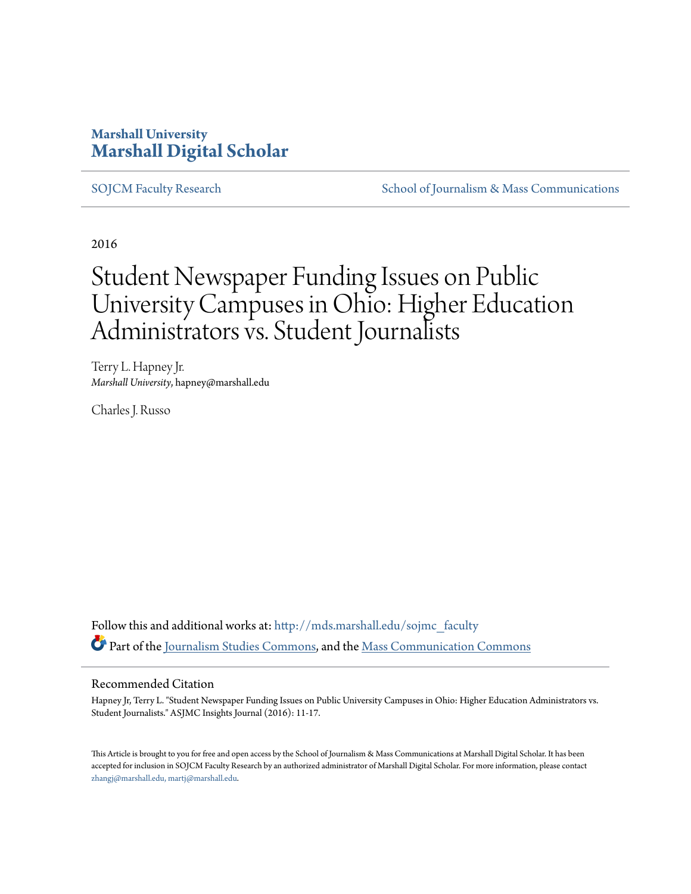### **Marshall University [Marshall Digital Scholar](http://mds.marshall.edu?utm_source=mds.marshall.edu%2Fsojmc_faculty%2F6&utm_medium=PDF&utm_campaign=PDFCoverPages)**

[SOJCM Faculty Research](http://mds.marshall.edu/sojmc_faculty?utm_source=mds.marshall.edu%2Fsojmc_faculty%2F6&utm_medium=PDF&utm_campaign=PDFCoverPages) [School of Journalism & Mass Communications](http://mds.marshall.edu/sojmc?utm_source=mds.marshall.edu%2Fsojmc_faculty%2F6&utm_medium=PDF&utm_campaign=PDFCoverPages)

2016

# Student Newspaper Funding Issues on Public University Campuses in Ohio: Higher Education Administrators vs. Student Journalists

Terry L. Hapney Jr. *Marshall University*, hapney@marshall.edu

Charles J. Russo

Follow this and additional works at: [http://mds.marshall.edu/sojmc\\_faculty](http://mds.marshall.edu/sojmc_faculty?utm_source=mds.marshall.edu%2Fsojmc_faculty%2F6&utm_medium=PDF&utm_campaign=PDFCoverPages) Part of the [Journalism Studies Commons](http://network.bepress.com/hgg/discipline/333?utm_source=mds.marshall.edu%2Fsojmc_faculty%2F6&utm_medium=PDF&utm_campaign=PDFCoverPages), and the [Mass Communication Commons](http://network.bepress.com/hgg/discipline/334?utm_source=mds.marshall.edu%2Fsojmc_faculty%2F6&utm_medium=PDF&utm_campaign=PDFCoverPages)

#### Recommended Citation

Hapney Jr, Terry L. "Student Newspaper Funding Issues on Public University Campuses in Ohio: Higher Education Administrators vs. Student Journalists." ASJMC Insights Journal (2016): 11-17.

This Article is brought to you for free and open access by the School of Journalism & Mass Communications at Marshall Digital Scholar. It has been accepted for inclusion in SOJCM Faculty Research by an authorized administrator of Marshall Digital Scholar. For more information, please contact [zhangj@marshall.edu, martj@marshall.edu](mailto:zhangj@marshall.edu,%20martj@marshall.edu).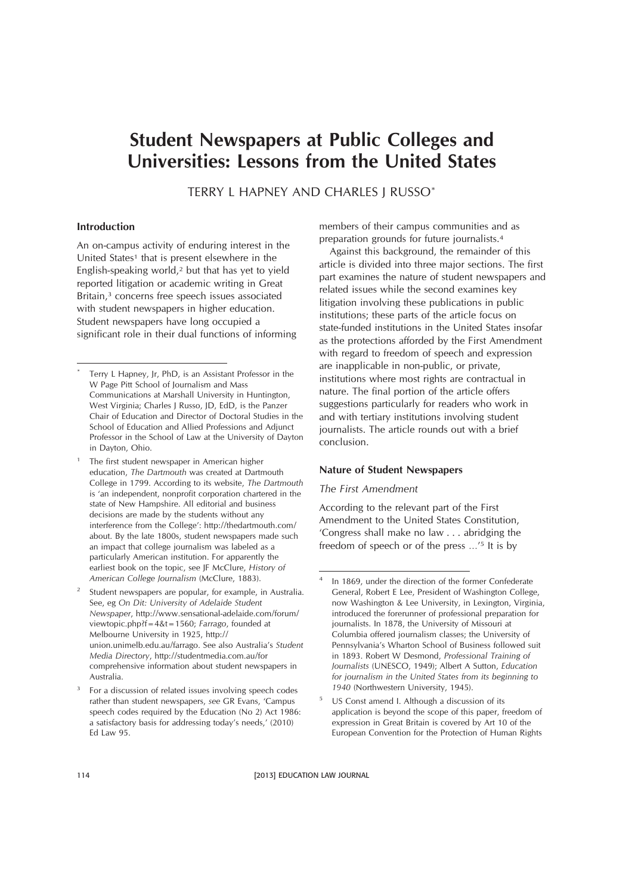## **Student Newspapers at Public Colleges and Universities: Lessons from the United States**

TERRY L HAPNEY AND CHARLES J RUSSO\*

#### **Introduction**

An on-campus activity of enduring interest in the United States<sup>1</sup> that is present elsewhere in the English-speaking world,2 but that has yet to yield reported litigation or academic writing in Great Britain,<sup>3</sup> concerns free speech issues associated with student newspapers in higher education. Student newspapers have long occupied a significant role in their dual functions of informing members of their campus communities and as preparation grounds for future journalists.4

Against this background, the remainder of this article is divided into three major sections. The first part examines the nature of student newspapers and related issues while the second examines key litigation involving these publications in public institutions; these parts of the article focus on state-funded institutions in the United States insofar as the protections afforded by the First Amendment with regard to freedom of speech and expression are inapplicable in non-public, or private, institutions where most rights are contractual in nature. The final portion of the article offers suggestions particularly for readers who work in and with tertiary institutions involving student journalists. The article rounds out with a brief conclusion.

#### **Nature of Student Newspapers**

#### *The First Amendment*

According to the relevant part of the First Amendment to the United States Constitution, 'Congress shall make no law... abridging the freedom of speech or of the press …'5 It is by

Terry L Hapney, Jr, PhD, is an Assistant Professor in the W Page Pitt School of Journalism and Mass Communications at Marshall University in Huntington, West Virginia; Charles J Russo, JD, EdD, is the Panzer Chair of Education and Director of Doctoral Studies in the School of Education and Allied Professions and Adjunct Professor in the School of Law at the University of Dayton in Dayton, Ohio.

The first student newspaper in American higher education, *The Dartmouth* was created at Dartmouth College in 1799. According to its website, *The Dartmouth* is 'an independent, nonprofit corporation chartered in the state of New Hampshire. All editorial and business decisions are made by the students without any interference from the College': http://thedartmouth.com/ about. By the late 1800s, student newspapers made such an impact that college journalism was labeled as a particularly American institution. For apparently the earliest book on the topic, see JF McClure, *History of American College Journalism* (McClure, 1883).

Student newspapers are popular, for example, in Australia. See, eg *On Dit: University of Adelaide Student Newspaper*, http://www.sensational-adelaide.com/forum/ viewtopic.php?f=4&t=1560; *Farrago*, founded at Melbourne University in 1925, http:// union.unimelb.edu.au/farrago. See also Australia's *Student Media Directory*, http://studentmedia.com.au/for comprehensive information about student newspapers in Australia.

<sup>&</sup>lt;sup>3</sup> For a discussion of related issues involving speech codes rather than student newspapers, *see* GR Evans, 'Campus speech codes required by the Education (No 2) Act 1986: a satisfactory basis for addressing today's needs,' (2010) Ed Law 95.

In 1869, under the direction of the former Confederate General, Robert E Lee, President of Washington College, now Washington & Lee University, in Lexington, Virginia, introduced the forerunner of professional preparation for journalists. In 1878, the University of Missouri at Columbia offered journalism classes; the University of Pennsylvania's Wharton School of Business followed suit in 1893. Robert W Desmond, *Professional Training of Journalists* (UNESCO, 1949); Albert A Sutton, *Education for journalism in the United States from its beginning to 1940* (Northwestern University, 1945).

<sup>5</sup> US Const amend I. Although a discussion of its application is beyond the scope of this paper, freedom of expression in Great Britain is covered by Art 10 of the European Convention for the Protection of Human Rights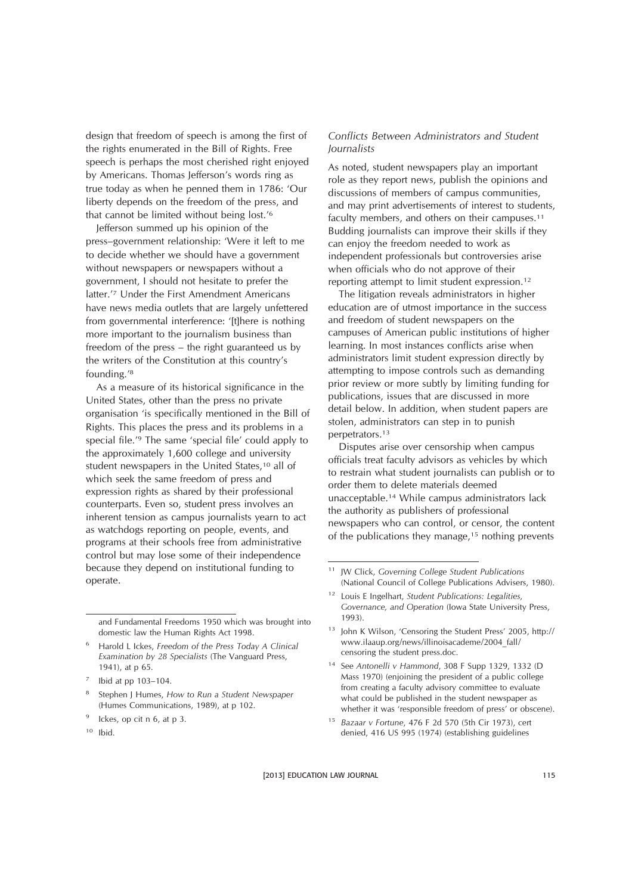design that freedom of speech is among the first of the rights enumerated in the Bill of Rights. Free speech is perhaps the most cherished right enjoyed by Americans. Thomas Jefferson's words ring as true today as when he penned them in 1786: 'Our liberty depends on the freedom of the press, and that cannot be limited without being lost.'6

Jefferson summed up his opinion of the press–government relationship: 'Were it left to me to decide whether we should have a government without newspapers or newspapers without a government, I should not hesitate to prefer the latter.'7 Under the First Amendment Americans have news media outlets that are largely unfettered from governmental interference: '[t]here is nothing more important to the journalism business than freedom of the press – the right guaranteed us by the writers of the Constitution at this country's founding.'8

As a measure of its historical significance in the United States, other than the press no private organisation 'is specifically mentioned in the Bill of Rights. This places the press and its problems in a special file.'9 The same 'special file' could apply to the approximately 1,600 college and university student newspapers in the United States,<sup>10</sup> all of which seek the same freedom of press and expression rights as shared by their professional counterparts. Even so, student press involves an inherent tension as campus journalists yearn to act as watchdogs reporting on people, events, and programs at their schools free from administrative control but may lose some of their independence because they depend on institutional funding to operate.

and Fundamental Freedoms 1950 which was brought into domestic law the Human Rights Act 1998.

 $9$  Ickes, op cit n 6, at p 3.

#### *Conflicts Between Administrators and Student Journalists*

As noted, student newspapers play an important role as they report news, publish the opinions and discussions of members of campus communities, and may print advertisements of interest to students, faculty members, and others on their campuses.<sup>11</sup> Budding journalists can improve their skills if they can enjoy the freedom needed to work as independent professionals but controversies arise when officials who do not approve of their reporting attempt to limit student expression.12

The litigation reveals administrators in higher education are of utmost importance in the success and freedom of student newspapers on the campuses of American public institutions of higher learning. In most instances conflicts arise when administrators limit student expression directly by attempting to impose controls such as demanding prior review or more subtly by limiting funding for publications, issues that are discussed in more detail below. In addition, when student papers are stolen, administrators can step in to punish perpetrators.13

Disputes arise over censorship when campus officials treat faculty advisors as vehicles by which to restrain what student journalists can publish or to order them to delete materials deemed unacceptable.14 While campus administrators lack the authority as publishers of professional newspapers who can control, or censor, the content of the publications they manage,<sup>15</sup> nothing prevents

<sup>6</sup> Harold L Ickes, *Freedom of the Press Today A Clinical Examination by 28 Specialists* (The Vanguard Press, 1941), at p 65.

<sup>7</sup> Ibid at pp 103–104.

<sup>8</sup> Stephen J Humes, *How to Run a Student Newspaper* (Humes Communications, 1989), at p 102.

 $10$  Ibid.

<sup>11</sup> JW Click, *Governing College Student Publications* (National Council of College Publications Advisers, 1980).

<sup>12</sup> Louis E Ingelhart, *Student Publications: Legalities, Governance, and Operation* (Iowa State University Press, 1993).

<sup>&</sup>lt;sup>13</sup> Iohn K Wilson, 'Censoring the Student Press' 2005, http:// www.ilaaup.org/news/illinoisacademe/2004\_fall/ censoring the student press.doc.

<sup>14</sup> See *Antonelli v Hammond*, 308 F Supp 1329, 1332 (D Mass 1970) (enjoining the president of a public college from creating a faculty advisory committee to evaluate what could be published in the student newspaper as whether it was 'responsible freedom of press' or obscene).

<sup>15</sup> *Bazaar v Fortune*, 476 F 2d 570 (5th Cir 1973), cert denied, 416 US 995 (1974) (establishing guidelines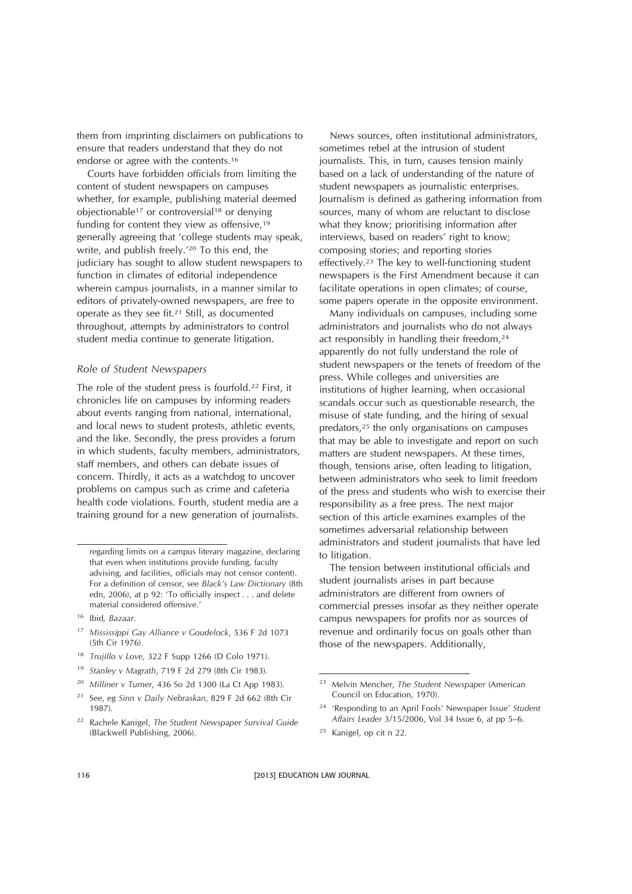them from imprinting disclaimers on publications to ensure that readers understand that they do not endorse or agree with the contents.16

Courts have forbidden officials from limiting the content of student newspapers on campuses whether, for example, publishing material deemed objectionable<sup>17</sup> or controversial<sup>18</sup> or denying funding for content they view as offensive,<sup>19</sup> generally agreeing that 'college students may speak, write, and publish freely.'20 To this end, the judiciary has sought to allow student newspapers to function in climates of editorial independence wherein campus journalists, in a manner similar to editors of privately-owned newspapers, are free to operate as they see fit.21 Still, as documented throughout, attempts by administrators to control student media continue to generate litigation.

#### *Role of Student Newspapers*

The role of the student press is fourfold.<sup>22</sup> First, it chronicles life on campuses by informing readers about events ranging from national, international, and local news to student protests, athletic events, and the like. Secondly, the press provides a forum in which students, faculty members, administrators, staff members, and others can debate issues of concern. Thirdly, it acts as a watchdog to uncover problems on campus such as crime and cafeteria health code violations. Fourth, student media are a training ground for a new generation of journalists.

- <sup>18</sup> *Trujillo v Love*, 322 F Supp 1266 (D Colo 1971).
- <sup>19</sup> *Stanley v Magrath*, 719 F 2d 279 (8th Cir 1983).
- <sup>20</sup> *Milliner v Turner*, 436 So 2d 1300 (La Ct App 1983).
- <sup>21</sup> See, eg *Sinn v Daily Nebraskan*, 829 F 2d 662 (8th Cir 1987).
- <sup>22</sup> Rachele Kanigel, *The Student Newspaper Survival Guide* (Blackwell Publishing, 2006).

News sources, often institutional administrators, sometimes rebel at the intrusion of student journalists. This, in turn, causes tension mainly based on a lack of understanding of the nature of student newspapers as journalistic enterprises. Journalism is defined as gathering information from sources, many of whom are reluctant to disclose what they know; prioritising information after interviews, based on readers' right to know; composing stories; and reporting stories effectively.23 The key to well-functioning student newspapers is the First Amendment because it can facilitate operations in open climates; of course, some papers operate in the opposite environment.

Many individuals on campuses, including some administrators and journalists who do not always act responsibly in handling their freedom,<sup>24</sup> apparently do not fully understand the role of student newspapers or the tenets of freedom of the press. While colleges and universities are institutions of higher learning, when occasional scandals occur such as questionable research, the misuse of state funding, and the hiring of sexual predators,25 the only organisations on campuses that may be able to investigate and report on such matters are student newspapers. At these times, though, tensions arise, often leading to litigation, between administrators who seek to limit freedom of the press and students who wish to exercise their responsibility as a free press. The next major section of this article examines examples of the sometimes adversarial relationship between administrators and student journalists that have led to litigation.

The tension between institutional officials and student journalists arises in part because administrators are different from owners of commercial presses insofar as they neither operate campus newspapers for profits nor as sources of revenue and ordinarily focus on goals other than those of the newspapers. Additionally,

- <sup>24</sup> 'Responding to an April Fools' Newspaper Issue' *Student Affairs Leader* 3/15/2006, Vol 34 Issue 6, at pp 5–6.
- <sup>25</sup> Kanigel, op cit n 22.

regarding limits on a campus literary magazine, declaring that even when institutions provide funding, faculty advising, and facilities, officials may not censor content). For a definition of censor, see *Black's Law Dictionary* (8th edn, 2006), at p 92: 'To officially inspect . . . and delete material considered offensive.'

<sup>16</sup> Ibid*, Bazaar*.

<sup>17</sup> *Mississippi Gay Alliance v Goudelock*, 536 F 2d 1073 (5th Cir 1976).

<sup>23</sup> Melvin Mencher, *The Student Newspaper* (American Council on Education, 1970).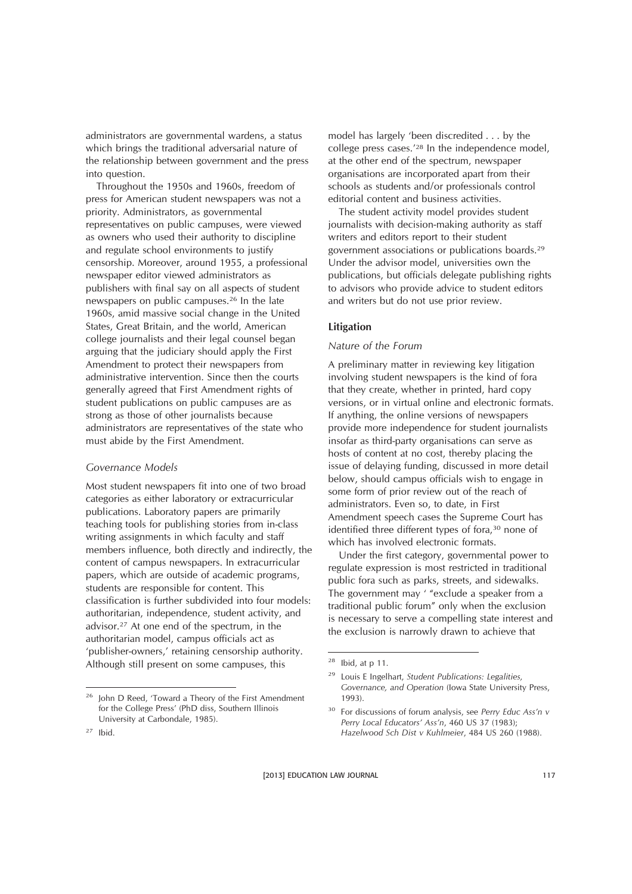administrators are governmental wardens, a status which brings the traditional adversarial nature of the relationship between government and the press into question.

Throughout the 1950s and 1960s, freedom of press for American student newspapers was not a priority. Administrators, as governmental representatives on public campuses, were viewed as owners who used their authority to discipline and regulate school environments to justify censorship. Moreover, around 1955, a professional newspaper editor viewed administrators as publishers with final say on all aspects of student newspapers on public campuses.26 In the late 1960s, amid massive social change in the United States, Great Britain, and the world, American college journalists and their legal counsel began arguing that the judiciary should apply the First Amendment to protect their newspapers from administrative intervention. Since then the courts generally agreed that First Amendment rights of student publications on public campuses are as strong as those of other journalists because administrators are representatives of the state who must abide by the First Amendment.

#### *Governance Models*

Most student newspapers fit into one of two broad categories as either laboratory or extracurricular publications. Laboratory papers are primarily teaching tools for publishing stories from in-class writing assignments in which faculty and staff members influence, both directly and indirectly, the content of campus newspapers. In extracurricular papers, which are outside of academic programs, students are responsible for content. This classification is further subdivided into four models: authoritarian, independence, student activity, and advisor.27 At one end of the spectrum, in the authoritarian model, campus officials act as 'publisher-owners,' retaining censorship authority. Although still present on some campuses, this

model has largely 'been discredited . . . by the college press cases.'28 In the independence model, at the other end of the spectrum, newspaper organisations are incorporated apart from their schools as students and/or professionals control editorial content and business activities.

The student activity model provides student journalists with decision-making authority as staff writers and editors report to their student government associations or publications boards.29 Under the advisor model, universities own the publications, but officials delegate publishing rights to advisors who provide advice to student editors and writers but do not use prior review.

#### **Litigation**

#### *Nature of the Forum*

A preliminary matter in reviewing key litigation involving student newspapers is the kind of fora that they create, whether in printed, hard copy versions, or in virtual online and electronic formats. If anything, the online versions of newspapers provide more independence for student journalists insofar as third-party organisations can serve as hosts of content at no cost, thereby placing the issue of delaying funding, discussed in more detail below, should campus officials wish to engage in some form of prior review out of the reach of administrators. Even so, to date, in First Amendment speech cases the Supreme Court has identified three different types of fora,30 none of which has involved electronic formats.

Under the first category, governmental power to regulate expression is most restricted in traditional public fora such as parks, streets, and sidewalks. The government may ' "exclude a speaker from a traditional public forum" only when the exclusion is necessary to serve a compelling state interest and the exclusion is narrowly drawn to achieve that

<sup>&</sup>lt;sup>26</sup> John D Reed, 'Toward a Theory of the First Amendment for the College Press' (PhD diss, Southern Illinois University at Carbondale, 1985).

 $28$  Ibid, at p 11.

<sup>29</sup> Louis E Ingelhart, *Student Publications: Legalities, Governance, and Operation* (Iowa State University Press, 1993).

<sup>30</sup> For discussions of forum analysis, see *Perry Educ Ass'n v Perry Local Educators' Ass'n*, 460 US 37 (1983); *Hazelwood Sch Dist v Kuhlmeier*, 484 US 260 (1988).

 $27$  Ibid.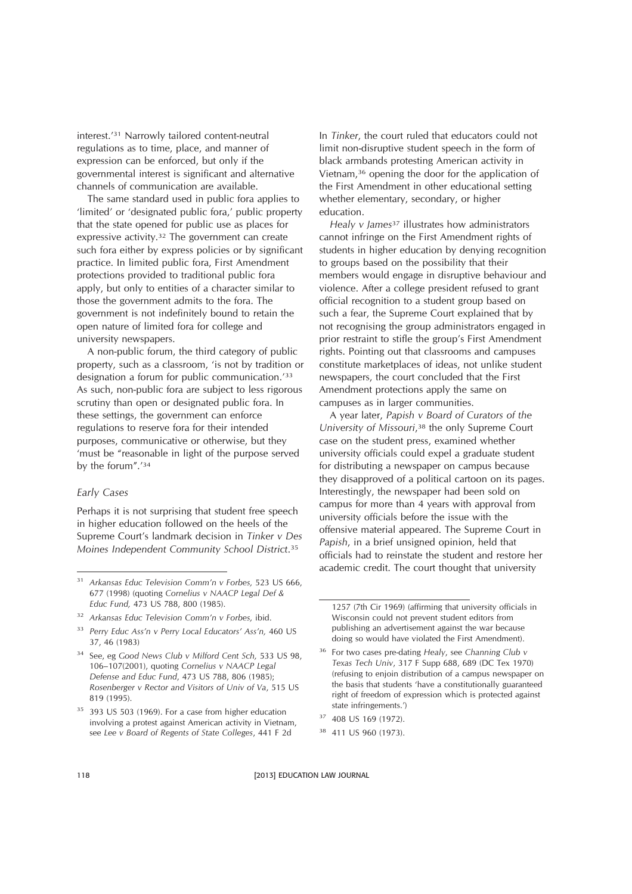interest.'31 Narrowly tailored content-neutral regulations as to time, place, and manner of expression can be enforced, but only if the governmental interest is significant and alternative channels of communication are available.

The same standard used in public fora applies to 'limited' or 'designated public fora,' public property that the state opened for public use as places for expressive activity.32 The government can create such fora either by express policies or by significant practice. In limited public fora, First Amendment protections provided to traditional public fora apply, but only to entities of a character similar to those the government admits to the fora. The government is not indefinitely bound to retain the open nature of limited fora for college and university newspapers.

A non-public forum, the third category of public property, such as a classroom, 'is not by tradition or designation a forum for public communication.'33 As such, non-public fora are subject to less rigorous scrutiny than open or designated public fora. In these settings, the government can enforce regulations to reserve fora for their intended purposes, communicative or otherwise, but they 'must be "reasonable in light of the purpose served by the forum".'34

#### *Early Cases*

Perhaps it is not surprising that student free speech in higher education followed on the heels of the Supreme Court's landmark decision in *Tinker v Des Moines Independent Community School District*.35

- <sup>33</sup> *Perry Educ Ass'n v Perry Local Educators' Ass'n,* 460 US 37, 46 (1983)
- <sup>34</sup> See, eg *Good News Club v Milford Cent Sch,* 533 US 98, 106–107(2001), quoting *Cornelius v NAACP Legal Defense and Educ Fund*, 473 US 788, 806 (1985); *Rosenberger v Rector and Visitors of Univ of Va*, 515 US 819 (1995).
- <sup>35</sup> 393 US 503 (1969). For a case from higher education involving a protest against American activity in Vietnam, see *Lee v Board of Regents of State Colleges*, 441 F 2d

In *Tinker*, the court ruled that educators could not limit non-disruptive student speech in the form of black armbands protesting American activity in Vietnam,36 opening the door for the application of the First Amendment in other educational setting whether elementary, secondary, or higher education.

*Healy v James*<sup>37</sup> illustrates how administrators cannot infringe on the First Amendment rights of students in higher education by denying recognition to groups based on the possibility that their members would engage in disruptive behaviour and violence. After a college president refused to grant official recognition to a student group based on such a fear, the Supreme Court explained that by not recognising the group administrators engaged in prior restraint to stifle the group's First Amendment rights. Pointing out that classrooms and campuses constitute marketplaces of ideas, not unlike student newspapers, the court concluded that the First Amendment protections apply the same on campuses as in larger communities.

A year later, *Papish v Board of Curators of the University of Missouri*,38 the only Supreme Court case on the student press, examined whether university officials could expel a graduate student for distributing a newspaper on campus because they disapproved of a political cartoon on its pages. Interestingly, the newspaper had been sold on campus for more than 4 years with approval from university officials before the issue with the offensive material appeared. The Supreme Court in *Papish*, in a brief unsigned opinion, held that officials had to reinstate the student and restore her academic credit. The court thought that university

<sup>31</sup> *Arkansas Educ Television Comm'n v Forbes,* 523 US 666, 677 (1998) (quoting *Cornelius v NAACP Legal Def & Educ Fund,* 473 US 788, 800 (1985).

<sup>32</sup> *Arkansas Educ Television Comm'n v Forbes,* ibid.

<sup>1257 (7</sup>th Cir 1969) (affirming that university officials in Wisconsin could not prevent student editors from publishing an advertisement against the war because doing so would have violated the First Amendment).

<sup>36</sup> For two cases pre-dating *Healy*, see *Channing Club v Texas Tech Univ*, 317 F Supp 688, 689 (DC Tex 1970) (refusing to enjoin distribution of a campus newspaper on the basis that students 'have a constitutionally guaranteed right of freedom of expression which is protected against state infringements.')

<sup>37</sup> 408 US 169 (1972).

<sup>38</sup> 411 US 960 (1973).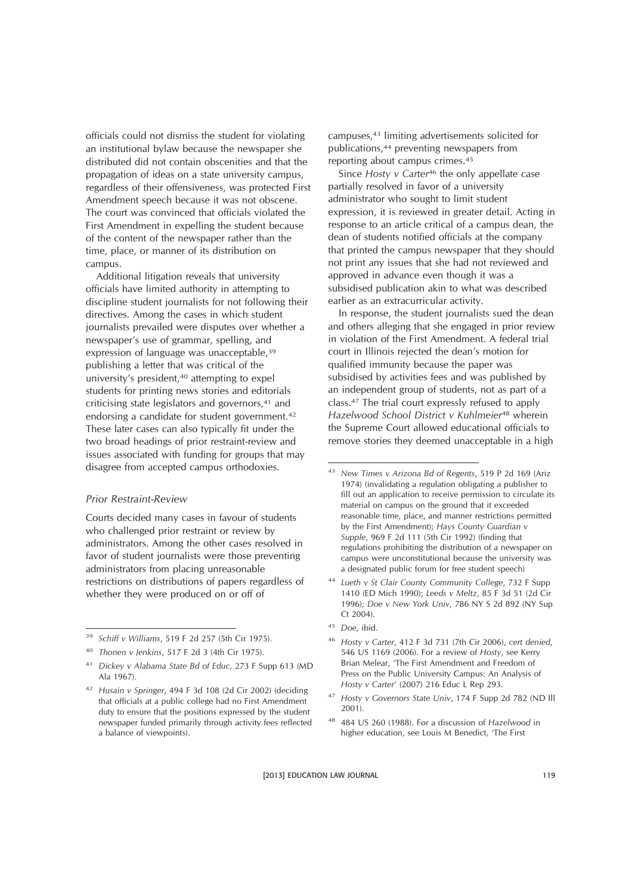officials could not dismiss the student for violating an institutional bylaw because the newspaper she distributed did not contain obscenities and that the propagation of ideas on a state university campus, regardless of their offensiveness, was protected First Amendment speech because it was not obscene. The court was convinced that officials violated the First Amendment in expelling the student because of the content of the newspaper rather than the time, place, or manner of its distribution on campus.

Additional litigation reveals that university officials have limited authority in attempting to discipline student journalists for not following their directives. Among the cases in which student journalists prevailed were disputes over whether a newspaper's use of grammar, spelling, and expression of language was unacceptable,<sup>39</sup> publishing a letter that was critical of the university's president,<sup>40</sup> attempting to expel students for printing news stories and editorials criticising state legislators and governors,<sup>41</sup> and endorsing a candidate for student government.42 These later cases can also typically fit under the two broad headings of prior restraint-review and issues associated with funding for groups that may disagree from accepted campus orthodoxies.

#### *Prior Restraint-Review*

Courts decided many cases in favour of students who challenged prior restraint or review by administrators. Among the other cases resolved in favor of student journalists were those preventing administrators from placing unreasonable restrictions on distributions of papers regardless of whether they were produced on or off of

campuses,43 limiting advertisements solicited for publications,44 preventing newspapers from reporting about campus crimes.45

Since *Hosty v Carter*<sup>46</sup> the only appellate case partially resolved in favor of a university administrator who sought to limit student expression, it is reviewed in greater detail. Acting in response to an article critical of a campus dean, the dean of students notified officials at the company that printed the campus newspaper that they should not print any issues that she had not reviewed and approved in advance even though it was a subsidised publication akin to what was described earlier as an extracurricular activity.

In response, the student journalists sued the dean and others alleging that she engaged in prior review in violation of the First Amendment. A federal trial court in Illinois rejected the dean's motion for qualified immunity because the paper was subsidised by activities fees and was published by an independent group of students, not as part of a class.47 The trial court expressly refused to apply *Hazelwood School District v Kuhlmeier*<sup>48</sup> wherein the Supreme Court allowed educational officials to remove stories they deemed unacceptable in a high

- <sup>44</sup> *Lueth v St Clair County Community College*, 732 F Supp 1410 (ED Mich 1990); *Leeds v Meltz*, 85 F 3d 51 (2d Cir 1996); *Doe v New York Univ*, 786 NY S 2d 892 (NY Sup Ct 2004).
- <sup>45</sup> *Doe*, ibid.
- <sup>46</sup> *Hosty v Carter*, 412 F 3d 731 (7th Cir 2006), *cert denied*, 546 US 1169 (2006). For a review of *Hosty*, see Kerry Brian Melear, 'The First Amendment and Freedom of Press on the Public University Campus: An Analysis of *Hosty v Carter*' (2007) 216 Educ L Rep 293.
- <sup>47</sup> *Hosty v Governors State Univ*, 174 F Supp 2d 782 (ND Ill 2001).
- <sup>48</sup> 484 US 260 (1988). For a discussion of *Hazelwood* in higher education, see Louis M Benedict, 'The First

<sup>39</sup> *Schiff v Williams*, 519 F 2d 257 (5th Cir 1975).

<sup>40</sup> *Thonen v Jenkins*, 517 F 2d 3 (4th Cir 1975).

<sup>41</sup> *Dickey v Alabama State Bd of Educ*, 273 F Supp 613 (MD Ala 1967).

<sup>42</sup> *Husain v Springer*, 494 F 3d 108 (2d Cir 2002) (deciding that officials at a public college had no First Amendment duty to ensure that the positions expressed by the student newspaper funded primarily through activity fees reflected a balance of viewpoints).

<sup>43</sup> *New Times v Arizona Bd of Regents*, 519 P 2d 169 (Ariz 1974) (invalidating a regulation obligating a publisher to fill out an application to receive permission to circulate its material on campus on the ground that it exceeded reasonable time, place, and manner restrictions permitted by the First Amendment); *Hays County Guardian v Supple*, 969 F 2d 111 (5th Cir 1992) (finding that regulations prohibiting the distribution of a newspaper on campus were unconstitutional because the university was a designated public forum for free student speech)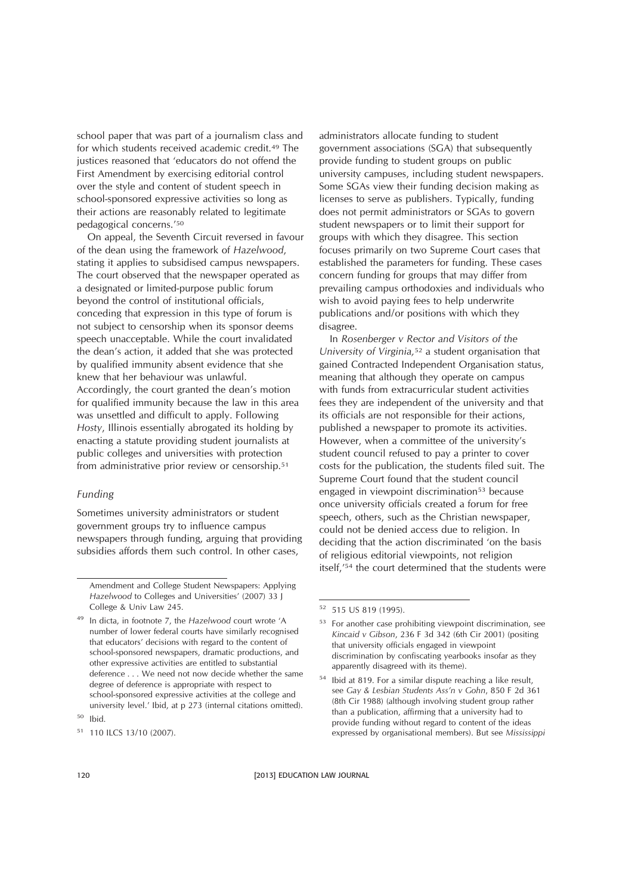school paper that was part of a journalism class and for which students received academic credit.49 The justices reasoned that 'educators do not offend the First Amendment by exercising editorial control over the style and content of student speech in school-sponsored expressive activities so long as their actions are reasonably related to legitimate pedagogical concerns.'50

On appeal, the Seventh Circuit reversed in favour of the dean using the framework of *Hazelwood*, stating it applies to subsidised campus newspapers. The court observed that the newspaper operated as a designated or limited-purpose public forum beyond the control of institutional officials, conceding that expression in this type of forum is not subject to censorship when its sponsor deems speech unacceptable. While the court invalidated the dean's action, it added that she was protected by qualified immunity absent evidence that she knew that her behaviour was unlawful. Accordingly, the court granted the dean's motion for qualified immunity because the law in this area was unsettled and difficult to apply. Following *Hosty*, Illinois essentially abrogated its holding by enacting a statute providing student journalists at public colleges and universities with protection from administrative prior review or censorship.<sup>51</sup>

#### *Funding*

Sometimes university administrators or student government groups try to influence campus newspapers through funding, arguing that providing subsidies affords them such control. In other cases,

administrators allocate funding to student government associations (SGA) that subsequently provide funding to student groups on public university campuses, including student newspapers. Some SGAs view their funding decision making as licenses to serve as publishers. Typically, funding does not permit administrators or SGAs to govern student newspapers or to limit their support for groups with which they disagree. This section focuses primarily on two Supreme Court cases that established the parameters for funding. These cases concern funding for groups that may differ from prevailing campus orthodoxies and individuals who wish to avoid paying fees to help underwrite publications and/or positions with which they disagree.

In *Rosenberger v Rector and Visitors of the University of Virginia,*<sup>52</sup> a student organisation that gained Contracted Independent Organisation status, meaning that although they operate on campus with funds from extracurricular student activities fees they are independent of the university and that its officials are not responsible for their actions, published a newspaper to promote its activities. However, when a committee of the university's student council refused to pay a printer to cover costs for the publication, the students filed suit. The Supreme Court found that the student council engaged in viewpoint discrimination<sup>53</sup> because once university officials created a forum for free speech, others, such as the Christian newspaper, could not be denied access due to religion. In deciding that the action discriminated 'on the basis of religious editorial viewpoints, not religion itself,'54 the court determined that the students were

Amendment and College Student Newspapers: Applying *Hazelwood* to Colleges and Universities' (2007) 33 J College & Univ Law 245.

<sup>49</sup> In dicta, in footnote 7, the *Hazelwood* court wrote 'A number of lower federal courts have similarly recognised that educators' decisions with regard to the content of school-sponsored newspapers, dramatic productions, and other expressive activities are entitled to substantial deference . . . We need not now decide whether the same degree of deference is appropriate with respect to school-sponsored expressive activities at the college and university level.' Ibid, at p 273 (internal citations omitted).

 $50$  Ibid.

<sup>51</sup> 110 ILCS 13/10 (2007).

<sup>52</sup> 515 US 819 (1995).

<sup>&</sup>lt;sup>53</sup> For another case prohibiting viewpoint discrimination, see *Kincaid v Gibson*, 236 F 3d 342 (6th Cir 2001) (positing that university officials engaged in viewpoint discrimination by confiscating yearbooks insofar as they apparently disagreed with its theme).

<sup>54</sup> Ibid at 819. For a similar dispute reaching a like result, see *Gay & Lesbian Students Ass'n v Gohn*, 850 F 2d 361 (8th Cir 1988) (although involving student group rather than a publication, affirming that a university had to provide funding without regard to content of the ideas expressed by organisational members). But see *Mississippi*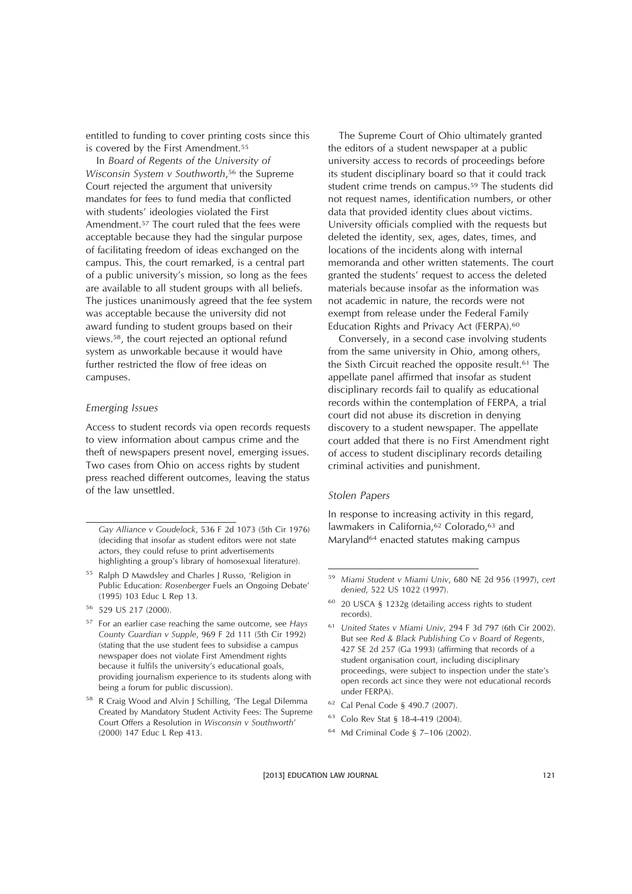entitled to funding to cover printing costs since this is covered by the First Amendment.<sup>55</sup>

In *Board of Regents of the University of Wisconsin System v Southworth*,<sup>56</sup> the Supreme Court rejected the argument that university mandates for fees to fund media that conflicted with students' ideologies violated the First Amendment.57 The court ruled that the fees were acceptable because they had the singular purpose of facilitating freedom of ideas exchanged on the campus. This, the court remarked, is a central part of a public university's mission, so long as the fees are available to all student groups with all beliefs. The justices unanimously agreed that the fee system was acceptable because the university did not award funding to student groups based on their views.58, the court rejected an optional refund system as unworkable because it would have further restricted the flow of free ideas on campuses.

#### *Emerging Issues*

Access to student records via open records requests to view information about campus crime and the theft of newspapers present novel, emerging issues. Two cases from Ohio on access rights by student press reached different outcomes, leaving the status of the law unsettled.

The Supreme Court of Ohio ultimately granted the editors of a student newspaper at a public university access to records of proceedings before its student disciplinary board so that it could track student crime trends on campus.59 The students did not request names, identification numbers, or other data that provided identity clues about victims. University officials complied with the requests but deleted the identity, sex, ages, dates, times, and locations of the incidents along with internal memoranda and other written statements. The court granted the students' request to access the deleted materials because insofar as the information was not academic in nature, the records were not exempt from release under the Federal Family Education Rights and Privacy Act (FERPA).60

Conversely, in a second case involving students from the same university in Ohio, among others, the Sixth Circuit reached the opposite result.61 The appellate panel affirmed that insofar as student disciplinary records fail to qualify as educational records within the contemplation of FERPA, a trial court did not abuse its discretion in denying discovery to a student newspaper. The appellate court added that there is no First Amendment right of access to student disciplinary records detailing criminal activities and punishment.

#### *Stolen Papers*

In response to increasing activity in this regard, lawmakers in California,<sup>62</sup> Colorado,<sup>63</sup> and Maryland64 enacted statutes making campus

- <sup>62</sup> Cal Penal Code § 490.7 (2007).
- <sup>63</sup> Colo Rev Stat § 18-4-419 (2004).
- <sup>64</sup> Md Criminal Code § 7–106 (2002).

*Gay Alliance v Goudelock*, 536 F 2d 1073 (5th Cir 1976) (deciding that insofar as student editors were not state actors, they could refuse to print advertisements highlighting a group's library of homosexual literature).

<sup>55</sup> Ralph D Mawdsley and Charles J Russo, 'Religion in Public Education: *Rosenberger* Fuels an Ongoing Debate' (1995) 103 Educ L Rep 13.

<sup>56</sup> 529 US 217 (2000).

<sup>57</sup> For an earlier case reaching the same outcome, see *Hays County Guardian v Supple*, 969 F 2d 111 (5th Cir 1992) (stating that the use student fees to subsidise a campus newspaper does not violate First Amendment rights because it fulfils the university's educational goals, providing journalism experience to its students along with being a forum for public discussion).

<sup>58</sup> R Craig Wood and Alvin J Schilling, 'The Legal Dilemma Created by Mandatory Student Activity Fees: The Supreme Court Offers a Resolution in *Wisconsin v Southworth*' (2000) 147 Educ L Rep 413.

<sup>59</sup> *Miami Student v Miami Univ*, 680 NE 2d 956 (1997), *cert denied*, 522 US 1022 (1997).

<sup>60</sup> 20 USCA § 1232g (detailing access rights to student records).

<sup>61</sup> *United States v Miami Univ*, 294 F 3d 797 (6th Cir 2002). But see *Red & Black Publishing Co v Board of Regents*, 427 SE 2d 257 (Ga 1993) (affirming that records of a student organisation court, including disciplinary proceedings, were subject to inspection under the state's open records act since they were not educational records under FERPA).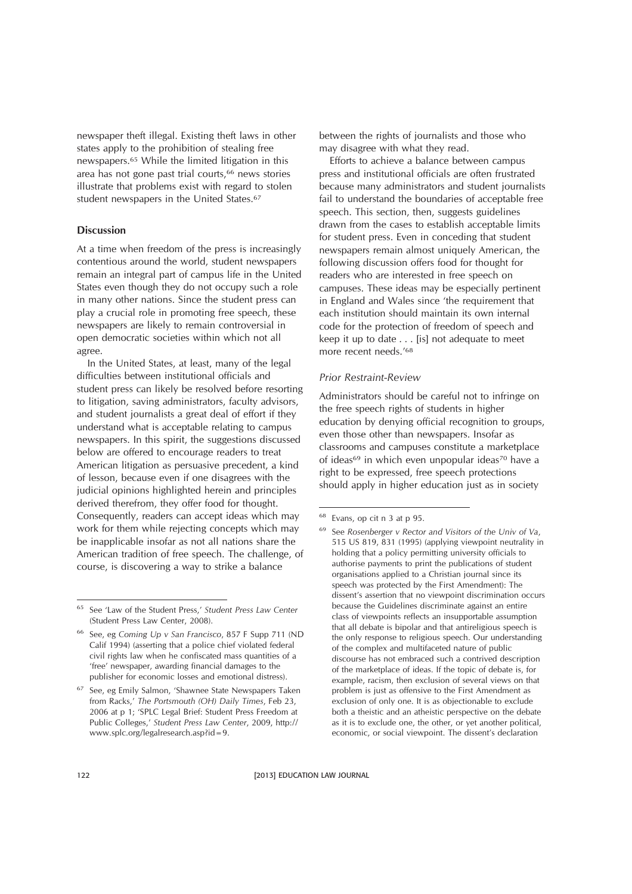newspaper theft illegal. Existing theft laws in other states apply to the prohibition of stealing free newspapers.65 While the limited litigation in this area has not gone past trial courts,66 news stories illustrate that problems exist with regard to stolen student newspapers in the United States.67

#### **Discussion**

At a time when freedom of the press is increasingly contentious around the world, student newspapers remain an integral part of campus life in the United States even though they do not occupy such a role in many other nations. Since the student press can play a crucial role in promoting free speech, these newspapers are likely to remain controversial in open democratic societies within which not all agree.

In the United States, at least, many of the legal difficulties between institutional officials and student press can likely be resolved before resorting to litigation, saving administrators, faculty advisors, and student journalists a great deal of effort if they understand what is acceptable relating to campus newspapers. In this spirit, the suggestions discussed below are offered to encourage readers to treat American litigation as persuasive precedent, a kind of lesson, because even if one disagrees with the judicial opinions highlighted herein and principles derived therefrom, they offer food for thought. Consequently, readers can accept ideas which may work for them while rejecting concepts which may be inapplicable insofar as not all nations share the American tradition of free speech. The challenge, of course, is discovering a way to strike a balance

between the rights of journalists and those who may disagree with what they read.

Efforts to achieve a balance between campus press and institutional officials are often frustrated because many administrators and student journalists fail to understand the boundaries of acceptable free speech. This section, then, suggests guidelines drawn from the cases to establish acceptable limits for student press. Even in conceding that student newspapers remain almost uniquely American, the following discussion offers food for thought for readers who are interested in free speech on campuses. These ideas may be especially pertinent in England and Wales since 'the requirement that each institution should maintain its own internal code for the protection of freedom of speech and keep it up to date... [is] not adequate to meet more recent needs.'68

#### *Prior Restraint-Review*

Administrators should be careful not to infringe on the free speech rights of students in higher education by denying official recognition to groups, even those other than newspapers. Insofar as classrooms and campuses constitute a marketplace of ideas<sup>69</sup> in which even unpopular ideas<sup>70</sup> have a right to be expressed, free speech protections should apply in higher education just as in society

<sup>65</sup> See 'Law of the Student Press,' *Student Press Law Center* (Student Press Law Center, 2008).

<sup>66</sup> See, eg *Coming Up v San Francisco*, 857 F Supp 711 (ND Calif 1994) (asserting that a police chief violated federal civil rights law when he confiscated mass quantities of a 'free' newspaper, awarding financial damages to the publisher for economic losses and emotional distress).

<sup>&</sup>lt;sup>67</sup> See, eg Emily Salmon, 'Shawnee State Newspapers Taken from Racks,' *The Portsmouth (OH) Daily Times*, Feb 23, 2006 at p 1; 'SPLC Legal Brief: Student Press Freedom at Public Colleges,' *Student Press Law Center*, 2009, http:// www.splc.org/legalresearch.asp?id=9.

<sup>68</sup> Evans, op cit n 3 at p 95.

<sup>69</sup> See *Rosenberger v Rector and Visitors of the Univ of Va*, 515 US 819, 831 (1995) (applying viewpoint neutrality in holding that a policy permitting university officials to authorise payments to print the publications of student organisations applied to a Christian journal since its speech was protected by the First Amendment): The dissent's assertion that no viewpoint discrimination occurs because the Guidelines discriminate against an entire class of viewpoints reflects an insupportable assumption that all debate is bipolar and that antireligious speech is the only response to religious speech. Our understanding of the complex and multifaceted nature of public discourse has not embraced such a contrived description of the marketplace of ideas. If the topic of debate is, for example, racism, then exclusion of several views on that problem is just as offensive to the First Amendment as exclusion of only one. It is as objectionable to exclude both a theistic and an atheistic perspective on the debate as it is to exclude one, the other, or yet another political, economic, or social viewpoint. The dissent's declaration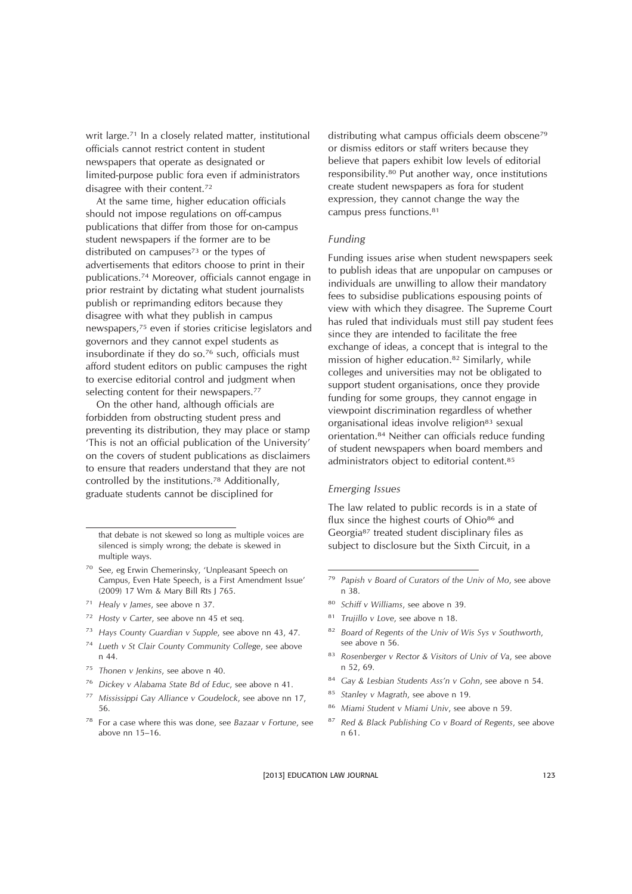writ large.<sup>71</sup> In a closely related matter, institutional officials cannot restrict content in student newspapers that operate as designated or limited-purpose public fora even if administrators disagree with their content.72

At the same time, higher education officials should not impose regulations on off-campus publications that differ from those for on-campus student newspapers if the former are to be distributed on campuses $73$  or the types of advertisements that editors choose to print in their publications.74 Moreover, officials cannot engage in prior restraint by dictating what student journalists publish or reprimanding editors because they disagree with what they publish in campus newspapers,75 even if stories criticise legislators and governors and they cannot expel students as insubordinate if they do so.76 such, officials must afford student editors on public campuses the right to exercise editorial control and judgment when selecting content for their newspapers.<sup>77</sup>

On the other hand, although officials are forbidden from obstructing student press and preventing its distribution, they may place or stamp 'This is not an official publication of the University' on the covers of student publications as disclaimers to ensure that readers understand that they are not controlled by the institutions.78 Additionally, graduate students cannot be disciplined for

- <sup>70</sup> See, eg Erwin Chemerinsky, 'Unpleasant Speech on Campus, Even Hate Speech, is a First Amendment Issue' (2009) 17 Wm & Mary Bill Rts J 765.
- <sup>71</sup> *Healy v James*, see above n 37.
- <sup>72</sup> *Hosty v Carter*, see above nn 45 et seq*.*
- <sup>73</sup> *Hays County Guardian v Supple*, see above nn 43, 47.
- <sup>74</sup> *Lueth v St Clair County Community College*, see above n 44.
- <sup>75</sup> *Thonen v Jenkins*, see above n 40.
- <sup>76</sup> *Dickey v Alabama State Bd of Educ*, see above n 41.
- <sup>77</sup> *Mississippi Gay Alliance v Goudelock*, see above nn 17, 56.
- <sup>78</sup> For a case where this was done, see *Bazaar v Fortune*, see above nn 15–16.

distributing what campus officials deem obscene<sup>79</sup> or dismiss editors or staff writers because they believe that papers exhibit low levels of editorial responsibility.80 Put another way, once institutions create student newspapers as fora for student expression, they cannot change the way the campus press functions.81

#### *Funding*

Funding issues arise when student newspapers seek to publish ideas that are unpopular on campuses or individuals are unwilling to allow their mandatory fees to subsidise publications espousing points of view with which they disagree. The Supreme Court has ruled that individuals must still pay student fees since they are intended to facilitate the free exchange of ideas, a concept that is integral to the mission of higher education.82 Similarly, while colleges and universities may not be obligated to support student organisations, once they provide funding for some groups, they cannot engage in viewpoint discrimination regardless of whether organisational ideas involve religion83 sexual orientation.84 Neither can officials reduce funding of student newspapers when board members and administrators object to editorial content.85

#### *Emerging Issues*

The law related to public records is in a state of flux since the highest courts of Ohio<sup>86</sup> and Georgia87 treated student disciplinary files as subject to disclosure but the Sixth Circuit, in a

- <sup>80</sup> *Schiff v Williams*, see above n 39.
- <sup>81</sup> *Trujillo v Love*, see above n 18.
- <sup>82</sup> *Board of Regents of the Univ of Wis Sys v Southworth*, see above n 56.
- <sup>83</sup> *Rosenberger v Rector & Visitors of Univ of Va*, see above n 52, 69.
- <sup>84</sup> *Gay & Lesbian Students Ass'n v Gohn*, see above n 54.
- <sup>85</sup> *Stanley v Magrath*, see above n 19.
- <sup>86</sup> *Miami Student v Miami Univ*, see above n 59.
- <sup>87</sup> *Red & Black Publishing Co v Board of Regents*, see above n 61.

that debate is not skewed so long as multiple voices are silenced is simply wrong; the debate is skewed in multiple ways.

<sup>79</sup> *Papish v Board of Curators of the Univ of Mo*, see above n 38.